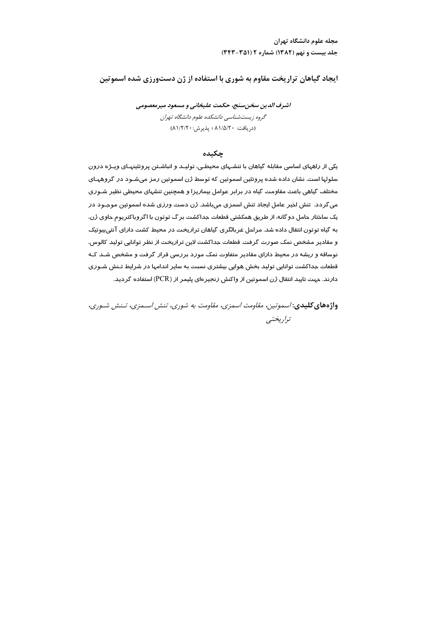مجله علوم دانشگاه تهران جلد بیست و نهم (۱۳۸۲) شماره ۲ (۳۵۱-۳۴۳)

ایجاد گیاهان تراریخت مقاوم به شوری با استفاده از ژن دستورزی شده اسموتین

اشرف الدین سخن سنج، حکمت علیخانی و مسعود میرمعصومی گروه زیستشناسی دانشکده علوم دانشگاه تهران (دريافت: ۸۱/۵/۲۰؛ يذيرش: ۸۱/۲/۲۰)

## چکىدە

یکی از راههای اساسی مقابله گیاهان با تنشـهای محیطـی، تولیـد و انباشـتن پروتئینهـای ویـژه درون سلولها است. نشان داده شده پروتئین اسموتین که توسط ژن اسموتین رمز میشـود در گروههـای مختلف گیاهی باعث مقاومت گیاه در برابر عوامل بیماریزا و همچنین تنشهای محیطی نظیر شـوری می گردد. تنش اخیر عامل ایجاد تنش اسمزی میباشد. ژن دست ورزی شده اسموتین موجـود در یک ساختار حامل دو گانه، از طریق همکشتی قطعات جداکشت بر گ توتون با اگروباکتریوم حاوی ژن، به گیاه توتون انتقال داده شد. مراحل غربالگری گیاهان تراریخت در محیط کشت دارای آنتی،یوتیک و مقادیر مشخص نمک صورت گرفت. قطعات جداکشت لاین تراریخت از نظر توانایی تولید کالوس، نوساقه و ریشه در محیط دارای مقادیر متفاوت نمک مورد بررسی قرار گرفت و مشخص شـد کـه قطعات جداکشت توانایی تولید بخش هوایی بیشتری نسبت به سایر اندامها در شرایط تـنش شـوری دارند. جهت تایید انتقال ژن اسموتین از واکنش زنجیرهای پلیمر از (PCR) استفاده گردید.

واژههای کلیدی: اسموتین، مقاومت اسمزی، مقاومت به شوری، تنش اسـمزی، تـنش شـوری، تداريختيى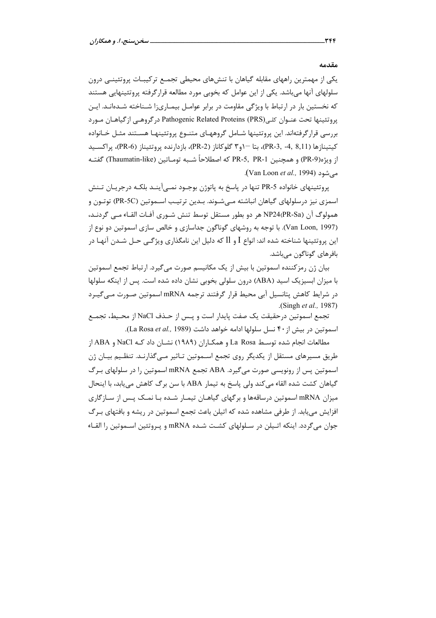مقدمه

یکی از مهمترین راههای مقابله گیاهان با تنشهای محیطی تجمـع ترکیبـات پروتئینـی درون سلولهای آنها میباشد. یکی از این عوامل که بخوبی مورد مطالعه قرار گرفته پروتئینهایی هستند که نخستین بار در ارتباط با ویژگی مقاومت در برابر عوامـل بیمـاریزا شـناخته شـدهانـد. ایـن يروتئينها تحت عنـوان كلـى(Pathogenic Related Proteins (PRS درگروهـي ازگياهـان مـورد بررسی قرار گرفتهاند. این پروتئینها شــامل گروههـای متنــوع پروتئینهـا هســتند مثــل خــانواده كيتينازها (PR-3, -4, 8,11)، بتا −او۳ گلوكاناز (PR-2)، بازدارنده پروتئيناز (PR-6)، پراكسـيد از ويژه(PR-9) و همچنين PR-5, PR-1 كه اصطلاحاً شـبه تومـاتين (Thaumatin-like) گفتـه می شود (Van Loon et al., 1994).

پروتئینهای خانواده PR-5 تنها در پاسخ به پاتوژن بوجـود نمــی[ینــد بلکــه درجریــان تــنش اسمزی نیز درسلولهای گیاهان انباشته مـیشـوند. بـدین ترتیـب اسـموتین (PR-5C) توتـون و همولوگ آن (PR-Saم هر دو بطور مستقل توسط تنش شـوري آفـات القـاء مـي گردنـد، (Van Loon, 1997). با توجه به روشهای گوناگون جداسازی و خالص سازی اسموتین دو نوع از این پروتئینها شناخته شده اند: انواع I و ll که دلیل این نامگذاری ویژگـی حـل شـدن آنهـا در بافرهاي گوناگون ميباشد.

بیان ژن رمزکننده اسموتین با بیش از یک مکانیسم صورت میگیرد. ارتباط تجمع اسموتین با میزان ابسیزیک اسید (ABA) درون سلولی بخوبی نشان داده شده است. پس از اینکه سلولها در شرایط کاهش پتانسیل آبی محیط قرار گرفتند ترجمه mRNA اسموتین صـورت مـی گیـرد (Singh et al., 1987).

تجمع اسموتين درحقيقت يک صفت يايدار است و يـس از حـذف NaCl از محـيط، تجمـع اسموتين در بيش از ۴۰ نسل سلولها ادامه خواهد داشت (La Rosa et al., 1989).

مطالعات انجام شده توسـط La Rosa و همكـاران (۱۹۸۹) نشـان داد كـه NaCl و ABA از طریق مسیرهای مستقل از یکدیگر روی تجمع اسـموتین تـاثیر مـیگذارنـد. تنظـیم بیـان ژن اسموتین پس از رونویسی صورت میگیرد. ABA تجمع mRNA اسموتین را در سلولهای بـرگ گیاهان کشت شده القاء می کند ولی پاسخ به تیمار ABA با سن برگ کاهش می یابد، با اینحال میزان mRNA اسموتین درساقهها و برگهای گیاهـان تیمـار شـده بـا نمـک پـس از سـازگاری افزایش می یابد. از طرفی مشاهده شده که اتیلن باعث تجمع اسموتین در ریشه و بافتهای بـرگ جوان می گردد. اینکه اتـیلن در سـلولهای کشـت شـده mRNA و پـروتئین اسـموتین را القـاء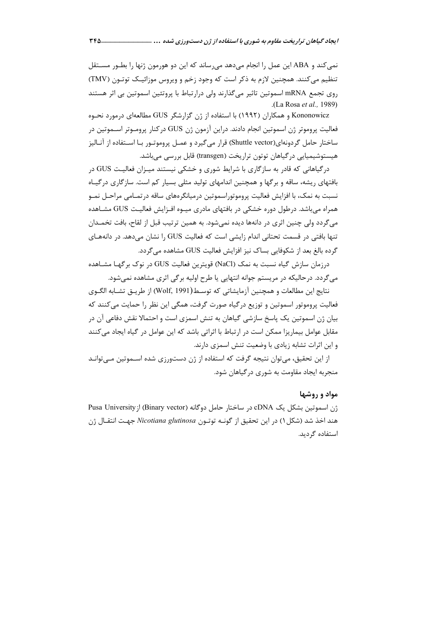نمے كند و ABA این عمل را انجام مے دهد مے رساند كه این دو هورمون ژنها را بطــور مســتقل تنظیم می کنند. همچنین لازم به ذکر است که وجود زخم و ویروس موزائیـک توتـون (TMV) روی تجمع mRNA اسموتین تاثیر می گذارند ولی درارتباط با پروتئین اسموتین بی اثر هستند .(La Rosa et al., 1989)

Kononowicz و همکاران (۱۹۹۲) با استفاده از ژن گزارشگر GUS مطالعهای درمورد نحـوه فعالیت پروموتر ژن اسموتین انجام دادند. دراین آزمون ژن GUS درکنار پرومـوتر اســموتین در ساختار حامل گردونهای(Shuttle vector) قرار میگیرد و عمـل پروموتـور بـا اسـتفاده از آنـاليز هیستوشیمیایی در گیاهان توتون تراریخت (transgen) قابل بررسی می باشد.

درگیاهانی که قادر به سازگاری با شرایط شوری و خشکی نیستند میـزان فعالیـت GUS در بافتهای ریشه، ساقه و برگها و همچنین اندامهای تولید مثلی بسیار کم است. سازگاری درگیـاه نسبت به نمک، با افزایش فعالیت پروموتوراسموتین درمیانگرههای ساقه درتمـامی مراحـل نمـو همراه میباشد. درطول دوره خشکی در بافتهای مادری میـوه افـزایش فعالیـت GUS مشـاهده می گردد ولی چنین اثری در دانهها دیده نمی شود. به همین ترتیب قبل از لقاح، بافت تخمـدان تنها بافتی در قسمت تحتانی اندام زایشی است که فعالیت GUS را نشان می دهد. در دانههـای گردہ بالغ بعد از شکوفایی بساک نیز افزایش فعالیت GUS مشاهدہ مے گردد.

درزمان سازش گیاه نسبت به نمک (NaCl) قویترین فعالیت GUS در نوک برگها مشـاهده می گردد. در حالیکه در مریستم جوانه انتهایی یا طرح اولیه بر گی اثری مشاهده نمی شود.

نتايج اين مطالعات و همچنين آزمايشاتي كه توسـط(Wolf, 1991) از طريــق تشــابه الگــوي فعالیت پروموتور اسموتین و توزیع درگیاه صورت گرفت، همگی این نظر را حمایت میکنند که بیان ژن اسموتین یک پاسخ سازشی گیاهان به تنش اسمزی است و احتمالا نقش دفاعی آن در مقابل عوامل بیماریزا ممکن است در ارتباط با اثراتی باشد که این عوامل در گیاه ایجاد میکنند و این اثرات تشابه زیادی با وضعیت تنش اسمزی دارند.

از این تحقیق، می توان نتیجه گرفت که استفاده از ژن دستورزی شده اســموتین مــی توانــد منجربه ایجاد مقاومت به شوری در گیاهان شود.

## مواد و روشها

ژن اسموتین بشکل یک cDNA در ساختار حامل دوگانه (Binary vector) از Pusa University هند اخذ شد (شكل ۱) در اين تحقيق از گونــه توتــون Nicotiana glutinosa جهـت انتقــال ژن استفاده گردید.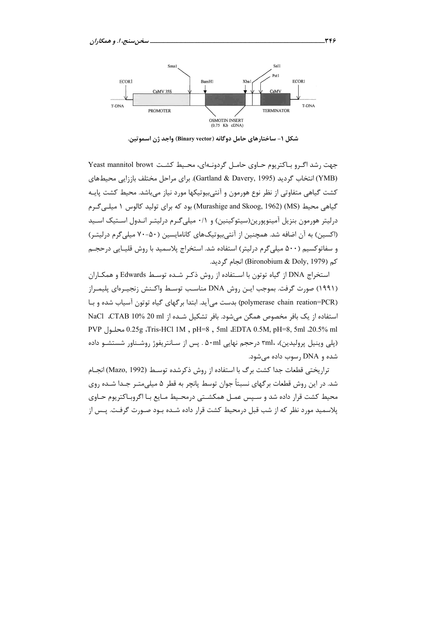

شکل ۱– ساختارهای حامل دوگانه (Binary vector) واجد ژن اسموتین.

جهت رشد اگـرو بـاكتريوم حـاوى حامـل گردونـهاى، محـيط كشـت Yeast mannitol browt (YMB) انتخاب گردید (Gartland & Davery, 1995). برای مراحل مختلف باززایی محیطهای کشت گیاهی متفاوتی از نظر نوع هورمون و آنتیبیوتیکها مورد نیاز میباشد. محیط کشت پایـه گیاهی محیط (MS) (MS) (Murashige and Skoog, 1962) بود که برای تولید کالوس ۱ میلے گـرم درلیتر هورمون بنزیل آمینویورین(سیتوکینین) و ۰/۱ میلی گـرم درلیتـر انـدول اسـتیک اسـید (اکسین) به آن اضافه شد. همچنین از آنتی بیوتیکهای کانامایسین (۵۰-۷۰ میلی گرم درلیتـر) و سفاتوکسیم (۵۰۰ میلی گرم درلیتر) استفاده شد. استخراج پلاسمید با روش قلیبایی درججیم كم (Bironobium & Doly, 1979) انجام گرديد.

استخراج DNA از گیاه توتون با استفاده از روش ذکر شده توسط Edwards و همکـاران (۱۹۹۱) صورت گرفت. بموجب ایـن روش DNA مناسـب توسـط واکـنش زنجيـرهاي پليمـراز (polymerase chain reation=PCR) بدست می آید. ابتدا بر گهای گیاه توتون آسیاب شده و بـا استفاده از یک بافر مخصوص همگن می شود. بافر تشکیل شـده از NaCl ،CTAB 10% 20 ml PVP (محلول 0.25g ،Tris-HCl 1M, pH=8, 5ml ،EDTA 0.5M, pH=8, 5ml ،20.5% ml (پلی وینیل پرولیدین)، ۳ml، در حجم نهایی ۵۰ml . پس از سـانتریفوژ روشـناور شستشـو داده شده و DNA رسوب داده میشود.

تراريختي قطعات جدا كشت برگ با استفاده از روش ذكرشده توسـط (Mazo, 1992) انجـام شد. در این روش قطعات بر گهای نسبتاً جوان توسط پانچر به قطر ۵ میلی متـر جـدا شــده روی محیط کشت قرار داده شد و سیس عمـل همکشـتی درمحـیط مـایع بـا اگروبـاکتریوم حـاوی پلاسمید مورد نظر که از شب قبل درمحیط کشت قرار داده شـده بـود صـورت گرفـت. پـس از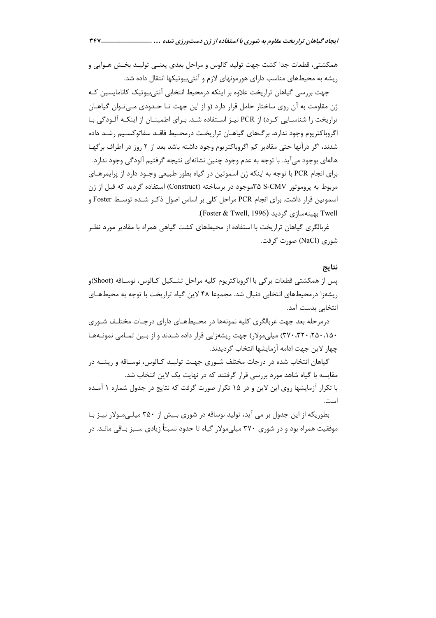ایجاد گیاهان تراریخت مقاوم به شوری با استفاده از ژن دستورزی شده … ـــــــــــ

همكشتى، قطعات جدا كشت جهت توليد كالوس و مراحل بعدي يعنــي توليــد بخــش هــوايي و ریشه به محیطهای مناسب دارای هورمونهای لازم و آنتیبیوتیکها انتقال داده شد.

جهت بررسی گیاهان تراریخت علاوه بر اینکه درمحیط انتخابی آنتی بیوتیک کانامایسین کـه ژن مقاومت به آن روی ساختار حامل قرار دارد (و از این جهت تـا حـدودی مـیتوان گیاهـان تراریخت را شناسـایی کـرد) از PCR نیـز اسـتفاده شـد. بـرای اطمینـان از اینکـه آلـودگی بـا اگروباکتریوم وجود ندارد، برگ@ای گیاهیان تراریخت درمحیط فاقید سفاتوکسینی شید داده شدند، اگر درآنها حتی مقادیر کم اگروباکتریوم وجود داشته باشد بعد از ۲ روز در اطراف برگهـا هالهای بوجود میآید. با توجه به عدم وجود چنین نشانهای نتیجه گرفتیم آلودگی وجود ندا, د. براي انجام PCR با توجه به اينكه ژن اسموتين در گياه بطور طبيعي وجـود دارد از پرايمرهـاي مربوط به پروموتور S-CMVموجود در برساخته (Construct) استفاده گردید که قبل از ژن اسموتین قرار داشت. برای انجام PCR مراحل کلی بر اساس اصول ذکـر شـده توسـط Foster و Twell بهينهسازي گرديد (Foster & Twell, 1996).

غربالگری گیاهان تراریخت با استفاده از محیطهای کشت گیاهی همراه با مقادیر مورد نظـر شوري (NaCl) صورت گرفت.

## نتايج

پس از همکشتی قطعات برگی با اگروباکتریوم کلیه مراحل تشکیل کـالوس، نوسـاقه (Shoot)و ریشهزا درمحیطهای انتخابی دنبال شد. مجموعا ۴۸ لاین گیاه تراریخت با توجه به محیطهـای انتخابی بدست آمد.

درمرحله بعد جهت غربالگری کلیه نمونهها در محیطهـای دارای درجـات مختلـف شـوری ۰٬۵۰٬۱۵۰ (۳۷۰٬۳۲۰٬۲۵۰٬۱۵۰) میلی مولار) جهت ریشهزایی قرار داده شـدند و از بـین تمـامی نمونـههـا چهار لاین جهت ادامه آزمایشها انتخاب گردیدند.

گیاهان انتخاب شده در درجات مختلف شـوری جهـت تولیـد کـالوس، نوسـاقه و ریشـه در مقایسه با گیاه شاهد مورد بررسی قرار گرفتند که در نهایت یک لاین انتخاب شد. با تکرار آزمایشها روی این لاین و در ۱۵ تکرار صورت گرفت که نتایج در جدول شماره ۱ آمـده است.

بطوریکه از این جدول بر می آید، تولید نوساقه در شوری بـیش از ۳۵۰ میلـیمـولار نیـز بـا موفقیت همراه بود و در شوری ۳۷۰ میلیمولار گیاه تا حدود نسبتاً زیادی سـبز بـاقی مانـد. در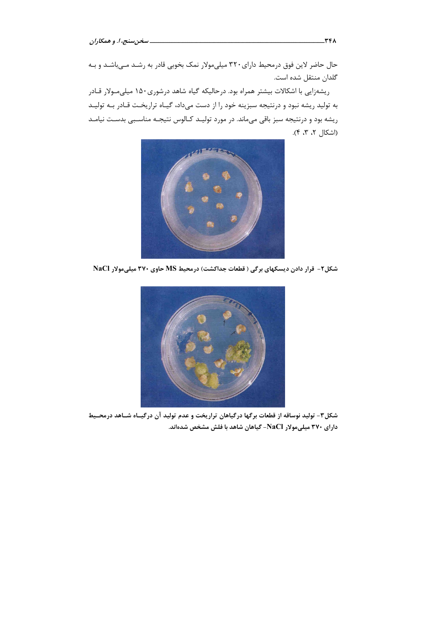حال حاضر لاین فوق درمحیط دارای ۳۲۰ میلی،مولار نمک بخوبی قادر به رشـد مـیباشـد و بـه گلدان منتقل شده است.

ریشەزایی با اشکالات بیشتر همراه بود. درحالیکه گیاه شاهد درشوری۱۵۰ میلی مولار قـادر به تولید ریشه نبود و درنتیجه سبزینه خود را از دست میداد، گیـاه تراریخـت قـادر بـه تولیـد ریشه بود و درنتیجه سبز باقی میماند. در مورد تولیـد کـالوس نتیجـه مناسـبی بدسـت نیامـد (اشكال ٢، ٣، ۴).



شکل۲- قرار دادن دیسکهای برگی ( قطعات جداکشت) درمحیط MS حاوی ۳۷۰ میلیمولار NaCl



شکل۳- تولید نوساقه از قطعات برگها درگیاهان تراریخت و عدم تولید آن درگیــاه شــاهد درمحــیط دارای ۳۷۰ میلیمولار NaCl- گیاهان شاهد با فلش مشخص شدهاند.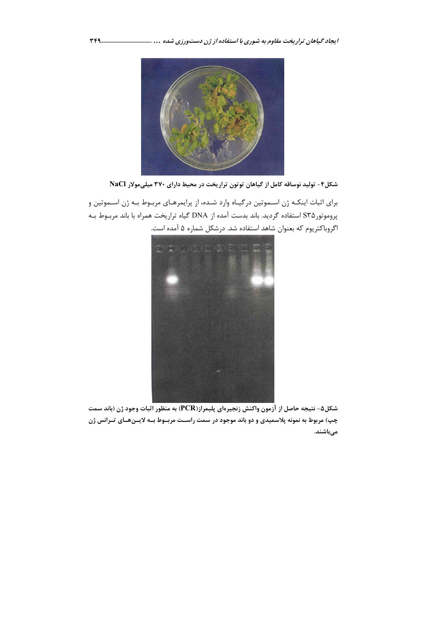

شکل۴- تولید نوساقه کامل از گیاهان توتون تراریخت در محیط دارای ۳۷۰ میلیمولار NaCl

برای اثبات اینکـه ژن اسـموتین درگیـاه وارد شـده، از پرایمرهـای مربـوط بـه ژن اسـموتین و پروموتورS۳۵ استفاده گردید. باند بدست آمده از DNA گیاه تراریخت همراه با باند مربـوط بـه اگروباکتریوم که بعنوان شاهد استفاده شد. درشکل شماره ۵ آمده است.



شكل۵- نتيجه حاصل از آزمون واكنش زنجيرهاي پليمراز(PCR) به منظور اثبات وجود ژن (باند سمت چپ) مربوط به نمونه پلاسمیدی و دو باند موجود در سمت راسـت مربـوط بـه لایـنهـای تـرانس ژن مىباشند.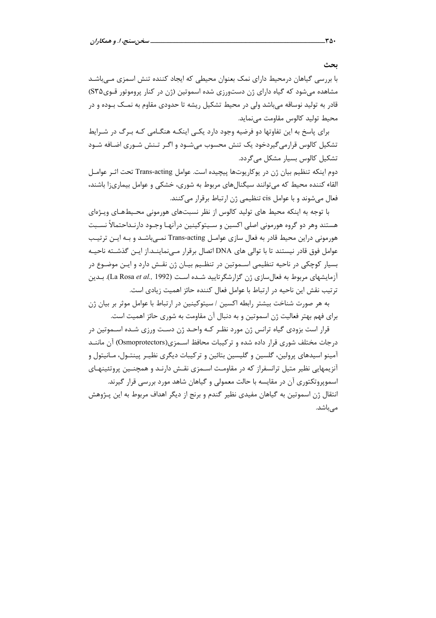با بررسی گیاهان درمحیط دارای نمک بعنوان محیطی که ایجاد کننده تنش اسمزی مے باشـد مشاهده میشود که گیاه دارای ژن دستورزی شده اسموتین (ژن در کنار پروموتور قـویS۳۵) قادر به تولید نوساقه میباشد ولی در محیط تشکیل ریشه تا حدودی مقاوم به نمـک بــوده و در محیط تولید کالوس مقاومت می نماید.

برای پاسخ به این تفاوتها دو فرضیه وجود دارد یکـی اینکـه هنگـامی کـه بـرگ در شـرایط تشکیل کالوس قرارمیگیردخود یک تنش محسوب میشـود و اگـر تـنش شـوری اضـافه شـود تشکیل کالوس بسیار مشکل می گردد.

دوم اينكه تنظيم بيان ژن در يوكاريوتها پيچيده است. عوامل Trans-acting تحت اثـر عوامـل القاء کننده محیط که میتوانند سیگنالهای مربوط به شوری، خشکی و عوامل بیماریزا باشند، فعال می شوند و با عوامل cis تنظیمی ژن ارتباط برقرار می کنند.

با توجه به اینکه محیط های تولید کالوس از نظر نسبتهای هورمونی محـیطهـای ویـژهای هستند وهر دو گروه هورمونی اصلی اکسین و سـیتوکینین درآنهـا وجـود دارنـداحتمالاً نسـبت هورمونی دراین محیط قادر به فعال سازی عوامـل Trans-acting نمـی باشـد و بـه ایـن ترتیـب عوامل فوق قادر نیستند تا با توالی های DNA اتصال برقرار مـیiماینــد.از ایـن گذشــته ناحیــه بسیار کوچکی در ناحیه تنظیمی اسـموتین در تنظـیم بیـان ژن نقـش دارد و ایـن موضـوع در آزمایشهای مربوط به فعال سازی ژن گزارشگرتایید شـده اسـت (La Rosa et al., 1992). بـدین ترتيب نقش اين ناحيه در ارتباط با عوامل فعال كننده حائز اهميت زيادي است.

به هر صورت شناخت بیشتر رابطه اکسین / سیتوکینین در ارتباط با عوامل موثر بر بیان ژن برای فهم بهتر فعالیت ژن اسموتین و به دنبال آن مقاومت به شوری حائز اهمیت است.

قرار است بزودی گیاه ترانس ژن مورد نظـر کـه واحـد ژن دسـت ورزی شـده اسـموتین در درجات مختلف شوری قرار داده شده و ترکیبات محافظ اسـمزی(Osmoprotectors) آن ماننـد آمینو اسیدهای پرولین، گلسین و گلیسین بتائین و ترکیبات دیگری نظیـر پینتــول، مــانیتول و آنزیمهایی نظیر متیل ترانسفراز که در مقاومت اسـمزی نقـش دارنـد و همچنـین پروتئینهـای اسموپروتکتوری آن در مقایسه با حالت معمولی و گیاهان شاهد مورد بررسی قرار گیرند. انتقال ژن اسموتین به گیاهان مفیدی نظیر گندم و برنج از دیگر اهداف مربوط به این پـژوهش مے باشد.

ىحث

 $\mathsf{r}\mathsf{a}\cdot$